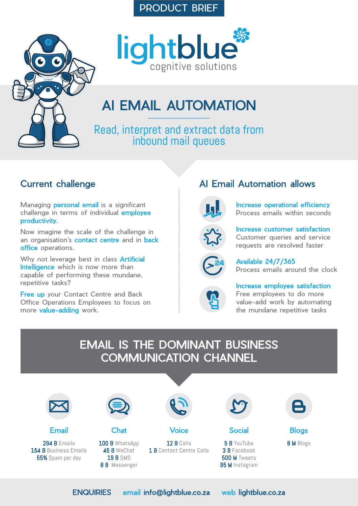## PRODUCT BRIEF





# AI EMAIL AUTOMATION

Read, interpret and extract data from inbound mail queues

## Current challenge

Managing **personal email** is a significant challenge in terms of individual employee productivity.

Now imagine the scale of the challenge in an organisation's contact centre and in back office operations.

Why not leverage best in class **Artificial** Intelligence which is now more than capable of performing these mundane, repetitive tasks?

**Free up** your Contact Centre and Back Office Operations Employees to focus on more value-adding work.

# AI Email Automation allows



Increase operational efficiency Process emails within seconds



Increase customer satisfaction Customer queries and service requests are resolved faster



Available 24/7/365 Process emails around the clock



Increase employee satisfaction Free employees to do more value-add work by automating the mundane repetitive tasks

# EMAIL IS THE DOMINANT BUSINESS COMMUNICATION CHANNEL



ENQUIRIES [email info@lightblue.co.za](mailto:info%40lightblue.co.za?subject=Product%20Enquiry) [web lightblue.co.za](http://www.lightblue.co.za)